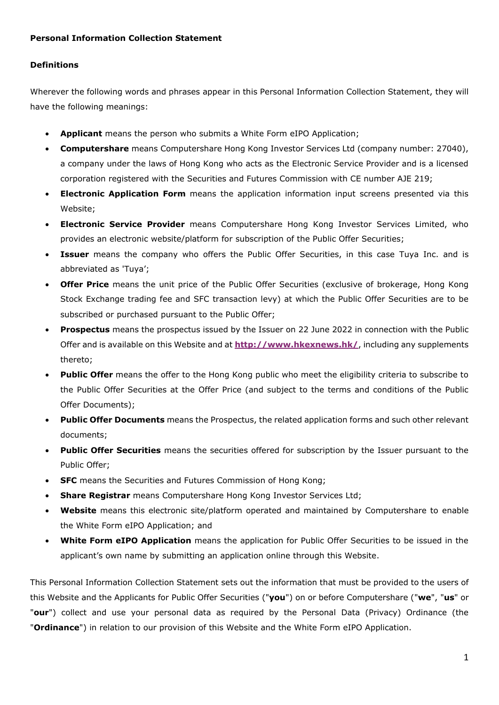## **Definitions**

Wherever the following words and phrases appear in this Personal Information Collection Statement, they will have the following meanings:

- **Applicant** means the person who submits a White Form eIPO Application;
- **Computershare** means Computershare Hong Kong Investor Services Ltd (company number: 27040), a company under the laws of Hong Kong who acts as the Electronic Service Provider and is a licensed corporation registered with the Securities and Futures Commission with CE number AJE 219;
- **Electronic Application Form** means the application information input screens presented via this Website;
- **Electronic Service Provider** means Computershare Hong Kong Investor Services Limited, who provides an electronic website/platform for subscription of the Public Offer Securities;
- **Issuer** means the company who offers the Public Offer Securities, in this case Tuya Inc. and is abbreviated as 'Tuya';
- **Offer Price** means the unit price of the Public Offer Securities (exclusive of brokerage, Hong Kong Stock Exchange trading fee and SFC transaction levy) at which the Public Offer Securities are to be subscribed or purchased pursuant to the Public Offer;
- **Prospectus** means the prospectus issued by the Issuer on 22 June 2022 in connection with the Public Offer and is available on this Website and at **<http://www.hkexnews.hk/>**, including any supplements thereto;
- **Public Offer** means the offer to the Hong Kong public who meet the eligibility criteria to subscribe to the Public Offer Securities at the Offer Price (and subject to the terms and conditions of the Public Offer Documents);
- **Public Offer Documents** means the Prospectus, the related application forms and such other relevant documents;
- **Public Offer Securities** means the securities offered for subscription by the Issuer pursuant to the Public Offer;
- **SFC** means the Securities and Futures Commission of Hong Kong;
- **Share Registrar** means Computershare Hong Kong Investor Services Ltd;
- **Website** means this electronic site/platform operated and maintained by Computershare to enable the White Form eIPO Application; and
- **White Form eIPO Application** means the application for Public Offer Securities to be issued in the applicant's own name by submitting an application online through this Website.

This Personal Information Collection Statement sets out the information that must be provided to the users of this Website and the Applicants for Public Offer Securities ("**you**") on or before Computershare ("**we**", "**us**" or "**our**") collect and use your personal data as required by the Personal Data (Privacy) Ordinance (the "**Ordinance**") in relation to our provision of this Website and the White Form eIPO Application.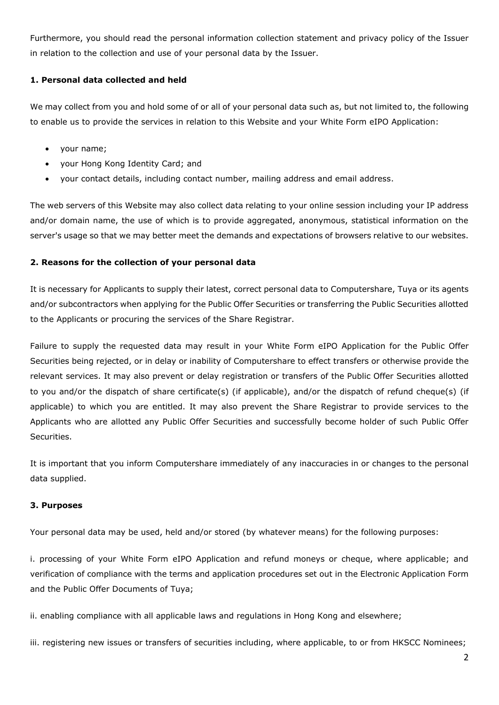Furthermore, you should read the personal information collection statement and privacy policy of the Issuer in relation to the collection and use of your personal data by the Issuer.

## **1. Personal data collected and held**

We may collect from you and hold some of or all of your personal data such as, but not limited to, the following to enable us to provide the services in relation to this Website and your White Form eIPO Application:

- your name;
- your Hong Kong Identity Card; and
- your contact details, including contact number, mailing address and email address.

The web servers of this Website may also collect data relating to your online session including your IP address and/or domain name, the use of which is to provide aggregated, anonymous, statistical information on the server's usage so that we may better meet the demands and expectations of browsers relative to our websites.

### **2. Reasons for the collection of your personal data**

It is necessary for Applicants to supply their latest, correct personal data to Computershare, Tuya or its agents and/or subcontractors when applying for the Public Offer Securities or transferring the Public Securities allotted to the Applicants or procuring the services of the Share Registrar.

Failure to supply the requested data may result in your White Form eIPO Application for the Public Offer Securities being rejected, or in delay or inability of Computershare to effect transfers or otherwise provide the relevant services. It may also prevent or delay registration or transfers of the Public Offer Securities allotted to you and/or the dispatch of share certificate(s) (if applicable), and/or the dispatch of refund cheque(s) (if applicable) to which you are entitled. It may also prevent the Share Registrar to provide services to the Applicants who are allotted any Public Offer Securities and successfully become holder of such Public Offer Securities.

It is important that you inform Computershare immediately of any inaccuracies in or changes to the personal data supplied.

#### **3. Purposes**

Your personal data may be used, held and/or stored (by whatever means) for the following purposes:

i. processing of your White Form eIPO Application and refund moneys or cheque, where applicable; and verification of compliance with the terms and application procedures set out in the Electronic Application Form and the Public Offer Documents of Tuya;

ii. enabling compliance with all applicable laws and regulations in Hong Kong and elsewhere;

iii. registering new issues or transfers of securities including, where applicable, to or from HKSCC Nominees;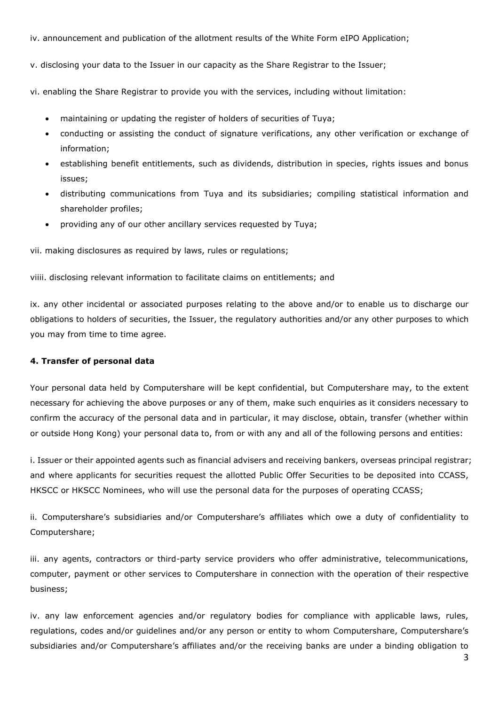iv. announcement and publication of the allotment results of the White Form eIPO Application;

v. disclosing your data to the Issuer in our capacity as the Share Registrar to the Issuer;

vi. enabling the Share Registrar to provide you with the services, including without limitation:

- maintaining or updating the register of holders of securities of Tuya;
- conducting or assisting the conduct of signature verifications, any other verification or exchange of information;
- establishing benefit entitlements, such as dividends, distribution in species, rights issues and bonus issues;
- distributing communications from Tuya and its subsidiaries; compiling statistical information and shareholder profiles;
- providing any of our other ancillary services requested by Tuya;

vii. making disclosures as required by laws, rules or regulations;

viiii. disclosing relevant information to facilitate claims on entitlements; and

ix. any other incidental or associated purposes relating to the above and/or to enable us to discharge our obligations to holders of securities, the Issuer, the regulatory authorities and/or any other purposes to which you may from time to time agree.

#### **4. Transfer of personal data**

Your personal data held by Computershare will be kept confidential, but Computershare may, to the extent necessary for achieving the above purposes or any of them, make such enquiries as it considers necessary to confirm the accuracy of the personal data and in particular, it may disclose, obtain, transfer (whether within or outside Hong Kong) your personal data to, from or with any and all of the following persons and entities:

i. Issuer or their appointed agents such as financial advisers and receiving bankers, overseas principal registrar; and where applicants for securities request the allotted Public Offer Securities to be deposited into CCASS, HKSCC or HKSCC Nominees, who will use the personal data for the purposes of operating CCASS;

ii. Computershare's subsidiaries and/or Computershare's affiliates which owe a duty of confidentiality to Computershare;

iii. any agents, contractors or third-party service providers who offer administrative, telecommunications, computer, payment or other services to Computershare in connection with the operation of their respective business;

iv. any law enforcement agencies and/or regulatory bodies for compliance with applicable laws, rules, regulations, codes and/or guidelines and/or any person or entity to whom Computershare, Computershare's subsidiaries and/or Computershare's affiliates and/or the receiving banks are under a binding obligation to